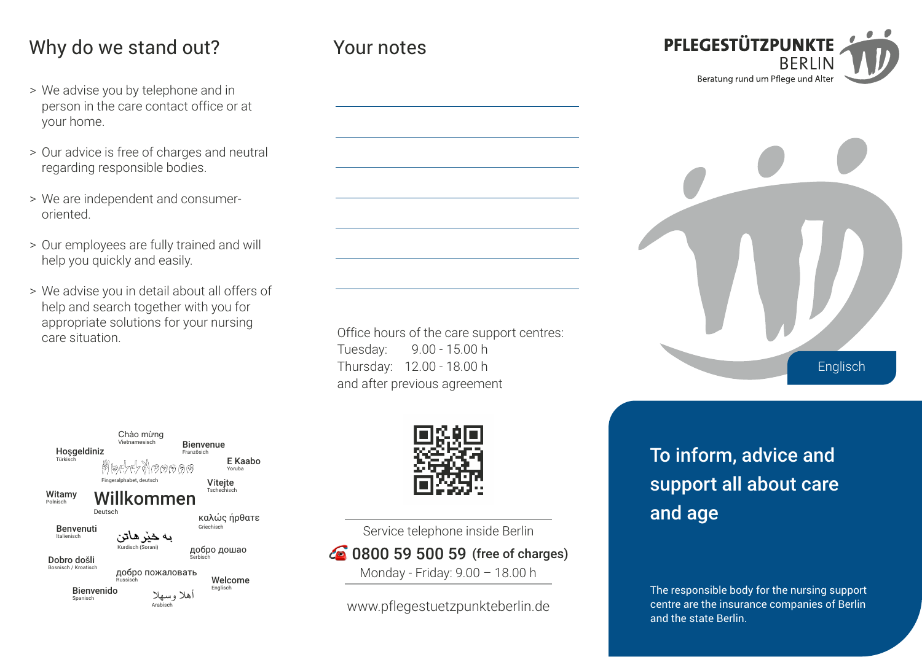## Why do we stand out?

- > We advise you by telephone and in person in the care contact office or at your home.
- > Our advice is free of charges and neutral regarding responsible bodies.
- > We are independent and consumeroriented.
- > Our employees are fully trained and will help you quickly and easily.
- > We advise you in detail about all offers of help and search together with you for appropriate solutions for your nursing care situation.

Office hours of the care support centres: Tuesday: Thursday: 12.00 - 18.00 h and after previous agreement 9.00 - 15.00 h

Your notes





Service telephone inside Berlin **6** 0800 59 500 59 (free of charges)

Monday - Friday: 9.00 – 18.00 h

www.pflegestuetzpunkteberlin.de

To inform, advice and support all about care and age

The responsible body for the nursing support centre are the insurance companies of Berlin and the state Berlin.